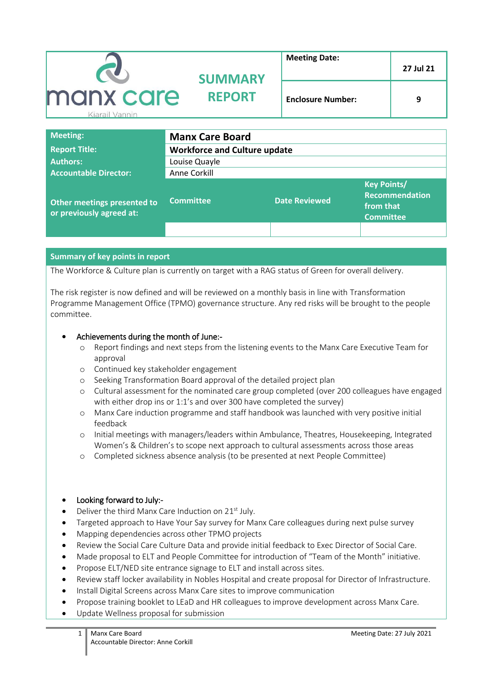|                                              | <b>SUMMARY</b> | <b>Meeting Date:</b>     | 27 Jul 21 |
|----------------------------------------------|----------------|--------------------------|-----------|
| manx care<br><b>REPORT</b><br>Kiarail Vannin |                | <b>Enclosure Number:</b> | 9         |

| <b>Meeting:</b>                                         | <b>Manx Care Board</b>              |                      |                                                                       |
|---------------------------------------------------------|-------------------------------------|----------------------|-----------------------------------------------------------------------|
| <b>Report Title:</b>                                    | <b>Workforce and Culture update</b> |                      |                                                                       |
| <b>Authors:</b>                                         | Louise Quayle                       |                      |                                                                       |
| <b>Accountable Director:</b>                            | Anne Corkill                        |                      |                                                                       |
| Other meetings presented to<br>or previously agreed at: | <b>Committee</b>                    | <b>Date Reviewed</b> | <b>Key Points/</b><br>Recommendation<br>from that<br><b>Committee</b> |
|                                                         |                                     |                      |                                                                       |

## **Summary of key points in report**

The Workforce & Culture plan is currently on target with a RAG status of Green for overall delivery.

The risk register is now defined and will be reviewed on a monthly basis in line with Transformation Programme Management Office (TPMO) governance structure. Any red risks will be brought to the people committee.

## Achievements during the month of June:-

- o Report findings and next steps from the listening events to the Manx Care Executive Team for approval
- o Continued key stakeholder engagement
- o Seeking Transformation Board approval of the detailed project plan
- o Cultural assessment for the nominated care group completed (over 200 colleagues have engaged with either drop ins or 1:1's and over 300 have completed the survey)
- o Manx Care induction programme and staff handbook was launched with very positive initial feedback
- o Initial meetings with managers/leaders within Ambulance, Theatres, Housekeeping, Integrated Women's & Children's to scope next approach to cultural assessments across those areas
- o Completed sickness absence analysis (to be presented at next People Committee)

## Looking forward to July:-

- Deliver the third Manx Care Induction on 21<sup>st</sup> July.
- Targeted approach to Have Your Say survey for Manx Care colleagues during next pulse survey
- Mapping dependencies across other TPMO projects
- Review the Social Care Culture Data and provide initial feedback to Exec Director of Social Care.
- Made proposal to ELT and People Committee for introduction of "Team of the Month" initiative.
- Propose ELT/NED site entrance signage to ELT and install across sites.
- Review staff locker availability in Nobles Hospital and create proposal for Director of Infrastructure.
- Install Digital Screens across Manx Care sites to improve communication
- Propose training booklet to LEaD and HR colleagues to improve development across Manx Care.
- Update Wellness proposal for submission